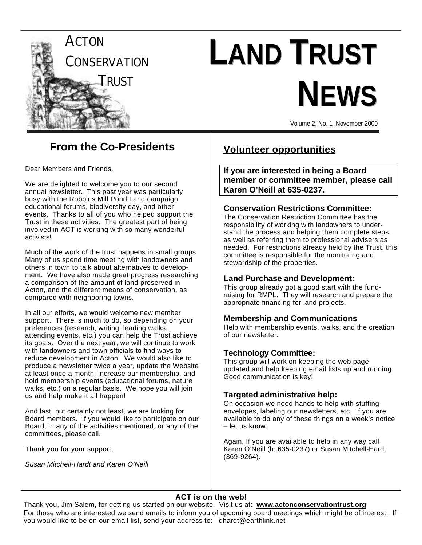

# **LAND TRUST NEWS**

Volume 2, No. 1 November 2000

## **From the Co-Presidents**

Dear Members and Friends,

We are delighted to welcome you to our second annual newsletter. This past year was particularly busy with the Robbins Mill Pond Land campaign, educational forums, biodiversity day, and other events. Thanks to all of you who helped support the Trust in these activities. The greatest part of being involved in ACT is working with so many wonderful activists!

Much of the work of the trust happens in small groups. Many of us spend time meeting with landowners and others in town to talk about alternatives to development. We have also made great progress researching a comparison of the amount of land preserved in Acton, and the different means of conservation, as compared with neighboring towns.

In all our efforts, we would welcome new member support. There is much to do, so depending on your preferences (research, writing, leading walks, attending events, etc.) you can help the Trust achieve its goals. Over the next year, we will continue to work with landowners and town officials to find ways to reduce development in Acton. We would also like to produce a newsletter twice a year, update the Website at least once a month, increase our membership, and hold membership events (educational forums, nature walks, etc.) on a regular basis. We hope you will join us and help make it all happen!

And last, but certainly not least, we are looking for Board members. If you would like to participate on our Board, in any of the activities mentioned, or any of the committees, please call.

Thank you for your support,

*Susan Mitchell-Hardt and Karen O'Neill*

#### **Volunteer opportunities**

**If you are interested in being a Board member or committee member, please call Karen O'Neill at 635-0237.**

#### **Conservation Restrictions Committee:**

The Conservation Restriction Committee has the responsibility of working with landowners to understand the process and helping them complete steps, as well as referring them to professional advisers as needed. For restrictions already held by the Trust, this committee is responsible for the monitoring and stewardship of the properties.

#### **Land Purchase and Development:**

This group already got a good start with the fundraising for RMPL. They will research and prepare the appropriate financing for land projects.

#### **Membership and Communications**

Help with membership events, walks, and the creation of our newsletter.

#### **Technology Committee:**

This group will work on keeping the web page updated and help keeping email lists up and running. Good communication is key!

#### **Targeted administrative help:**

On occasion we need hands to help with stuffing envelopes, labeling our newsletters, etc. If you are available to do any of these things on a week's notice – let us know.

Again, If you are available to help in any way call Karen O'Neill (h: 635-0237) or Susan Mitchell-Hardt (369-9264).

#### **ACT is on the web!**

Thank you, Jim Salem, for getting us started on our website. Visit us at: **www.actonconservationtrust.org** For those who are interested we send emails to inform you of upcoming board meetings which might be of interest. If you would like to be on our email list, send your address to: dhardt@earthlink.net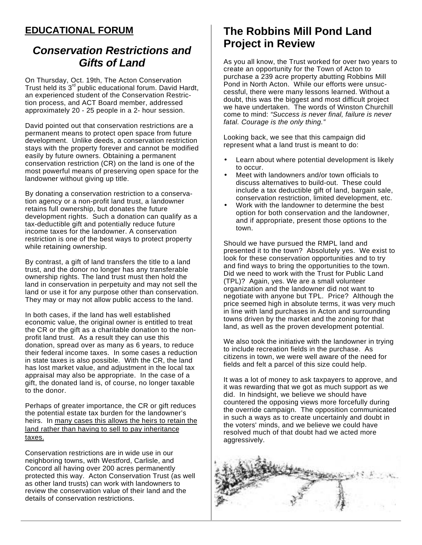#### **EDUCATIONAL FORUM**

### *Conservation Restrictions and Gifts of Land*

On Thursday, Oct. 19th, The Acton Conservation Trust held its  $3<sup>rd</sup>$  public educational forum. David Hardt, an experienced student of the Conservation Restriction process, and ACT Board member, addressed approximately 20 - 25 people in a 2- hour session.

David pointed out that conservation restrictions are a permanent means to protect open space from future development. Unlike deeds, a conservation restriction stays with the property forever and cannot be modified easily by future owners. Obtaining a permanent conservation restriction (CR) on the land is one of the most powerful means of preserving open space for the landowner without giving up title.

By donating a conservation restriction to a conservation agency or a non-profit land trust, a landowner retains full ownership, but donates the future development rights. Such a donation can qualify as a tax-deductible gift and potentially reduce future income taxes for the landowner. A conservation restriction is one of the best ways to protect property while retaining ownership.

By contrast, a gift of land transfers the title to a land trust, and the donor no longer has any transferable ownership rights. The land trust must then hold the land in conservation in perpetuity and may not sell the land or use it for any purpose other than conservation. They may or may not allow public access to the land.

In both cases, if the land has well established economic value, the original owner is entitled to treat the CR or the gift as a charitable donation to the nonprofit land trust. As a result they can use this donation, spread over as many as 6 years, to reduce their federal income taxes. In some cases a reduction in state taxes is also possible. With the CR, the land has lost market value, and adjustment in the local tax appraisal may also be appropriate. In the case of a gift, the donated land is, of course, no longer taxable to the donor.

Perhaps of greater importance, the CR or gift reduces the potential estate tax burden for the landowner's heirs. In many cases this allows the heirs to retain the land rather than having to sell to pay inheritance taxes.

Conservation restrictions are in wide use in our neighboring towns, with Westford, Carlisle, and Concord all having over 200 acres permanently protected this way. Acton Conservation Trust (as well as other land trusts) can work with landowners to review the conservation value of their land and the details of conservation restrictions.

## **The Robbins Mill Pond Land Project in Review**

As you all know, the Trust worked for over two years to create an opportunity for the Town of Acton to purchase a 239 acre property abutting Robbins Mill Pond in North Acton. While our efforts were unsuccessful, there were many lessons learned. Without a doubt, this was the biggest and most difficult project we have undertaken. The words of Winston Churchill come to mind: *"Success is never final, failure is never fatal. Courage is the only thing."*

Looking back, we see that this campaign did represent what a land trust is meant to do:

- Learn about where potential development is likely to occur.
- Meet with landowners and/or town officials to discuss alternatives to build-out. These could include a tax deductible gift of land, bargain sale, conservation restriction, limited development, etc.
- Work with the landowner to determine the best option for both conservation and the landowner, and if appropriate, present those options to the town.

Should we have pursued the RMPL land and presented it to the town? Absolutely yes. We exist to look for these conservation opportunities and to try and find ways to bring the opportunities to the town. Did we need to work with the Trust for Public Land (TPL)? Again, yes. We are a small volunteer organization and the landowner did not want to negotiate with anyone but TPL. Price? Although the price seemed high in absolute terms, it was very much in line with land purchases in Acton and surrounding towns driven by the market and the zoning for that land, as well as the proven development potential.

We also took the initiative with the landowner in trying to include recreation fields in the purchase. As citizens in town, we were well aware of the need for fields and felt a parcel of this size could help.

It was a lot of money to ask taxpayers to approve, and it was rewarding that we got as much support as we did. In hindsight, we believe we should have countered the opposing views more forcefully during the override campaign. The opposition communicated in such a ways as to create uncertainly and doubt in the voters' minds, and we believe we could have resolved much of that doubt had we acted more aggressively.

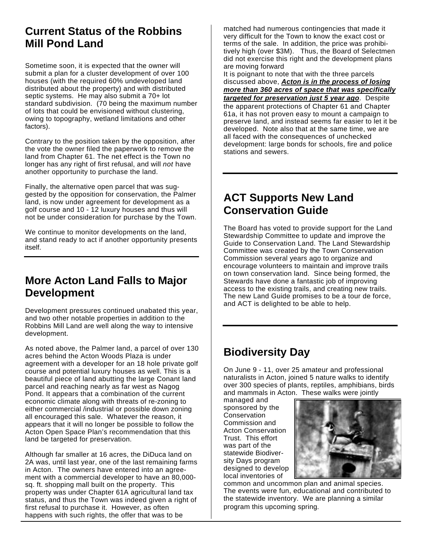## **Current Status of the Robbins Mill Pond Land**

Sometime soon, it is expected that the owner will submit a plan for a cluster development of over 100 houses (with the required 60% undeveloped land distributed about the property) and with distributed septic systems. He may also submit a 70+ lot standard subdivision. (70 being the maximum number of lots that could be envisioned without clustering, owing to topography, wetland limitations and other factors).

Contrary to the position taken by the opposition, after the vote the owner filed the paperwork to remove the land from Chapter 61. The net effect is the Town no longer has any right of first refusal, and will *not* have another opportunity to purchase the land.

Finally, the alternative open parcel that was suggested by the opposition for conservation, the Palmer land, is now under agreement for development as a golf course and 10 - 12 luxury houses and thus will not be under consideration for purchase by the Town.

We continue to monitor developments on the land, and stand ready to act if another opportunity presents itself.

#### **More Acton Land Falls to Major Development**

Development pressures continued unabated this year, and two other notable properties in addition to the Robbins Mill Land are well along the way to intensive development.

As noted above, the Palmer land, a parcel of over 130 acres behind the Acton Woods Plaza is under agreement with a developer for an 18 hole private golf course and potential luxury houses as well. This is a beautiful piece of land abutting the large Conant land parcel and reaching nearly as far west as Nagog Pond. It appears that a combination of the current economic climate along with threats of re-zoning to either commercial /industrial or possible down zoning all encouraged this sale. Whatever the reason, it appears that it will no longer be possible to follow the Acton Open Space Plan's recommendation that this land be targeted for preservation.

Although far smaller at 16 acres, the DiDuca land on 2A was, until last year, one of the last remaining farms in Acton. The owners have entered into an agreement with a commercial developer to have an 80,000 sq. ft. shopping mall built on the property. This property was under Chapter 61A agricultural land tax status, and thus the Town was indeed given a right of first refusal to purchase it. However, as often happens with such rights, the offer that was to be

matched had numerous contingencies that made it very difficult for the Town to know the exact cost or terms of the sale. In addition, the price was prohibitively high (over \$3M). Thus, the Board of Selectmen did not exercise this right and the development plans are moving forward

It is poignant to note that with the three parcels discussed above, *Acton is in the process of losing more than 360 acres of space that was specifically targeted for preservation just 5 year ago*. Despite the apparent protections of Chapter 61 and Chapter 61a, it has not proven easy to mount a campaign to preserve land, and instead seems far easier to let it be developed. Note also that at the same time, we are all faced with the consequences of unchecked development: large bonds for schools, fire and police stations and sewers.

#### **ACT Supports New Land Conservation Guide**

The Board has voted to provide support for the Land Stewardship Committee to update and improve the Guide to Conservation Land. The Land Stewardship Committee was created by the Town Conservation Commission several years ago to organize and encourage volunteers to maintain and improve trails on town conservation land. Since being formed, the Stewards have done a fantastic job of improving access to the existing trails, and creating new trails. The new Land Guide promises to be a tour de force, and ACT is delighted to be able to help.

## **Biodiversity Day**

On June 9 - 11, over 25 amateur and professional naturalists in Acton, joined 5 nature walks to identify over 300 species of plants, reptiles, amphibians, birds and mammals in Acton. These walks were jointly

managed and sponsored by the **Conservation** Commission and Acton Conservation Trust. This effort was part of the statewide Biodiversity Days program designed to develop local inventories of



common and uncommon plan and animal species. The events were fun, educational and contributed to the statewide inventory. We are planning a similar program this upcoming spring.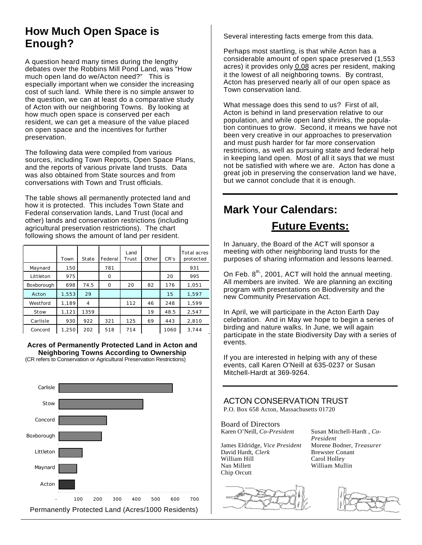## **How Much Open Space is Enough?**

A question heard many times during the lengthy debates over the Robbins Mill Pond Land, was "How much open land do we/Acton need?" This is especially important when we consider the increasing cost of such land. While there is no simple answer to the question, we can at least do a comparative study of Acton with our neighboring Towns. By looking at how much open space is conserved per each resident, we can get a measure of the value placed on open space and the incentives for further preservation.

The following data were compiled from various sources, including Town Reports, Open Space Plans, and the reports of various private land trusts. Data was also obtained from State sources and from conversations with Town and Trust officials.

The table shows all permanently protected land and how it is protected. This includes Town State and Federal conservation lands, Land Trust (local and other) lands and conservation restrictions (including agricultural preservation restrictions). The chart following shows the amount of land per resident.

|            | Town  | State | Federal | Land<br>Trust | Other | CR's | <b>Total acres</b><br>protected |
|------------|-------|-------|---------|---------------|-------|------|---------------------------------|
| Maynard    | 150   |       | 781     |               |       |      | 931                             |
| Littleton  | 975   |       | O       |               |       | 20   | 995                             |
| Boxborough | 698   | 74.5  | O       | 20            | 82    | 176  | 1.051                           |
| Acton      | 1,553 | 29    |         |               |       | 15   | 1.597                           |
| Westford   | 1.189 | 4     |         | 112           | 46    | 248  | 1.599                           |
| Stow       | 1,121 | 1359  |         |               | 19    | 48.5 | 2,547                           |
| Carlisle   | 930   | 922   | 321     | 125           | 69    | 443  | 2,810                           |
| Concord    | 1,250 | 202   | 518     | 714           |       | 1060 | 3.744                           |

**Acres of Permanently Protected Land in Acton and Neighboring Towns According to Ownership** (CR refers to Conservation or Agricultural Preservation Restrictions)



Several interesting facts emerge from this data.

Perhaps most startling, is that while Acton has a considerable amount of open space preserved (1,553 acres) it provides only 0.08 acres per resident, making it the lowest of all neighboring towns. By contrast, Acton has preserved nearly all of our open space as Town conservation land.

What message does this send to us? First of all, Acton is behind in land preservation relative to our population, and while open land shrinks, the population continues to grow. Second, it means we have not been very creative in our approaches to preservation and must push harder for far more conservation restrictions, as well as pursuing state and federal help in keeping land open. Most of all it says that we must not be satisfied with where we are. Acton has done a great job in preserving the conservation land we have, but we cannot conclude that it is enough.

## **Mark Your Calendars: Future Events:**

In January, the Board of the ACT will sponsor a

meeting with other neighboring land trusts for the purposes of sharing information and lessons learned.

On Feb.  $8<sup>th</sup>$ , 2001, ACT will hold the annual meeting. All members are invited. We are planning an exciting program with presentations on Biodiversity and the new Community Preservation Act.

In April, we will participate in the Acton Earth Day celebration. And in May we hope to begin a series of birding and nature walks. In June, we will again participate in the state Biodiversity Day with a series of events.

If you are interested in helping with any of these events, call Karen O'Neill at 635-0237 or Susan Mitchell-Hardt at 369-9264.

ACTON CONSERVATION TRUST P.O. Box 658 Acton, Massachusetts 01720

Board of Directors Karen O'Neill, *Co-Presiden*t Susan Mitchell-Hardt , *Co-*

James Eldridge, *Vice President* Morene Bodner, *Treasurer* David Hardt, *Clerk* Brewster Conant<br>William Hill **Carol Holley** William Hill **Carol Holley**<br>
Nan Millett **William Mul** Chip Orcutt

*President* William Mullin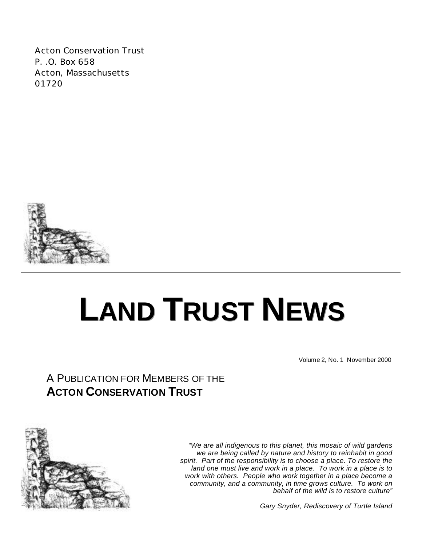Acton Conservation Trust P. .O. Box 658 Acton, Massachusetts 01720



## **LAND TRUST NEWS**

Volume 2, No. 1 November 2000

## A PUBLICATION FOR MEMBERS OF THE **ACTON CONSERVATION TRUST**



*"We are all indigenous to this planet, this mosaic of wild gardens we are being called by nature and history to reinhabit in good spirit. Part of the responsibility is to choose a place. To restore the land one must live and work in a place. To work in a place is to work with others. People who work together in a place become a community, and a community, in time grows culture. To work on behalf of the wild is to restore culture"*

*Gary Snyder, Rediscovery of Turtle Island*